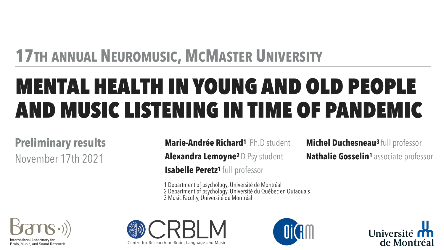## MENTAL HEALTH IN YOUNG AND OLD PEOPLE AND MUSIC LISTENING IN TIME OF PANDEMIC **17TH ANNUAL NEUROMUSIC, MCMASTER UNIVERSITY**

**Marie-Andrée Richard1** Ph.D student **Alexandra Lemoyne2** D.Psy student **Isabelle Peretz<sup>1</sup> full professor** 

### **Preliminary results** November 17th 2021

1 Department of psychology, Université de Montréal 2 Department of psychology, Université du Québec en Outaouais 3 Music Faculty, Université de Montréal



International Laboratory for Brain, Music, and Sound Research



**Michel Duchesneau<sup>3</sup> full professor Nathalie Gosselin<sup>1</sup>** associate professor



Université mn de Montréal

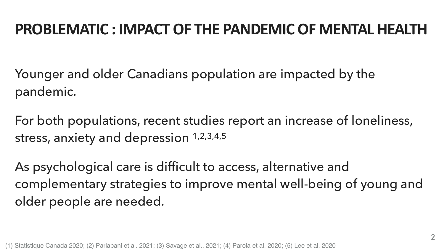### **PROBLEMATIC : IMPACT OF THE PANDEMIC OF MENTAL HEALTH**

(1) Statistique Canada 2020; (2) Parlapani et al. 2021; (3) Savage et al., 2021; (4) Parola et al. 2020; (5) Lee et al. 2020







Younger and older Canadians population are impacted by the pandemic.

For both populations, recent studies report an increase of loneliness, stress, anxiety and depression 1,2,3,4,5

As psychological care is difficult to access, alternative and complementary strategies to improve mental well-being of young and older people are needed.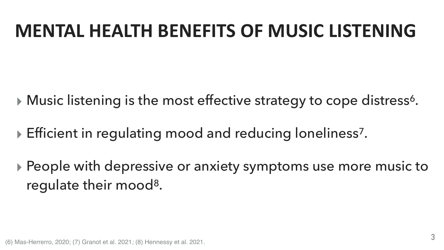## **MENTAL HEALTH BENEFITS OF MUSIC LISTENING**

- ▶ Music listening is the most effective strategy to cope distress<sup>6</sup>.
- ▸ Efficient in regulating mood and reducing loneliness7 .
- ▸ People with depressive or anxiety symptoms use more music to regulate their mood8 .

(6) Mas-Herrerro, 2020; (7) Granot et al. 2021*;* (8) Hennessy et al. 2021*.* **<sup>3</sup>**



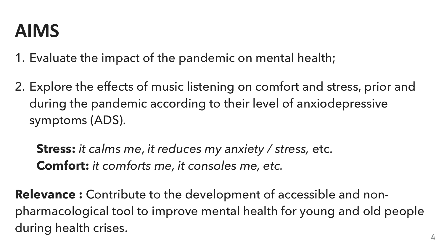### **AIMS**

1. Evaluate the impact of the pandemic on mental health;

2. Explore the effects of music listening on comfort and stress, prior and during the pandemic according to their level of anxiodepressive





symptoms (ADS).

‣ **Stress:** *it calms me*, *it reduces my anxiety / stress,* etc. **Comfort:** *it comforts me, it consoles me, etc.*

**Relevance :** Contribute to the development of accessible and nonpharmacological tool to improve mental health for young and old people during health crises. **4**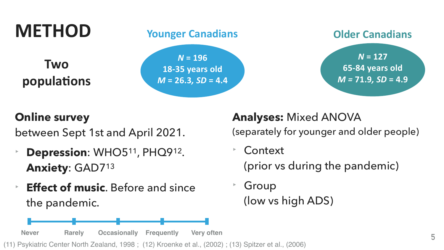### **METHOD**



### **Online survey** between Sept 1st and April 2021.

- ‣ **Depression**: WHO511, PHQ912 . **Anxiety**: GAD713
- ‣ **Effect of music**. Before and since the pandemic.

#### **Analyses:** Mixed ANOVA (separately for younger and older people)

- ‣ Context (prior vs during the pandemic)
- ‣ Group (low vs high ADS)

 $N = 127$ **65-84 years old** *M =* **71.9***, SD* **= 4.9**





**Two populations**

*N* **= 196 18-35 years old** *M* **= 26.3***, SD* **= 4.4**

(11) Psykiatric Center North Zealand, 1998 ; (12) Kroenke et al., (2002) ; (13) Spitzer et al., (2006) **Never Rarely Occasionally Frequently Very often**



#### **Younger Canadians**

#### **Older Canadians**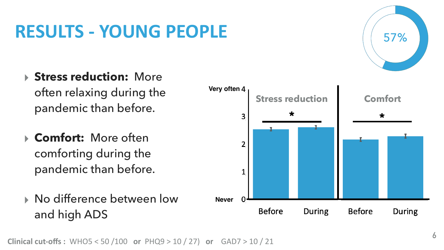### **RESULTS - YOUNG PEOPLE**

- ▸ **Stress reduction:** More often relaxing during the pandemic than before.
- ▸ **Comfort:** More often comforting during the pandemic than before.
- ▸ No difference between low and high ADS



57%





**Clinical cut-offs :** WHO5 < 50 /100 **or** PHQ9 > 10 / 27) **or** GAD7 > 10 / 21



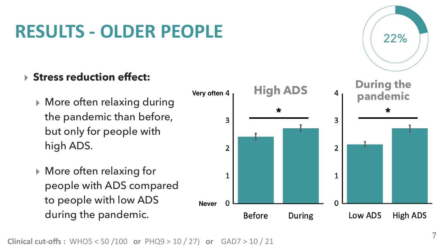### **RESULTS - OLDER PEOPLE**

#### ▸ **Stress reduction effect:**

- ▸ More often relaxing during the pandemic than before, but only for people with high ADS.
- ▸ More often relaxing for people with ADS compared to people with low ADS during the pandemic.







22%

**Clinical cut-offs :** WHO5 < 50 /100 **or** PHQ9 > 10 / 27) **or** GAD7 > 10 / 21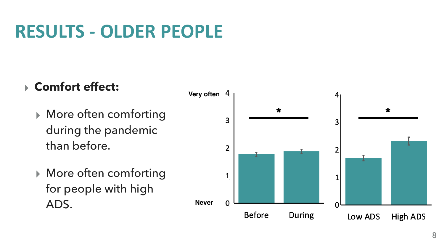### ▸ **Comfort effect:**

- ▸ More often comforting during the pandemic than before.
- ▸ More often comforting for people with high ADS.

### **RESULTS - OLDER PEOPLE**



**Never**

**Very often**

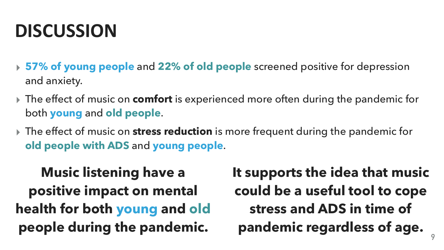## **DISCUSSION**

### **Music listening have a positive impact on mental health for both young and old people during the pandemic.**

**It supports the idea that music could be a useful tool to cope stress and ADS in time of pandemic regardless of age. <sup>9</sup>**





▸ **57% of young people** and **22% of old people** screened positive for depression

▸ The effect of music on **comfort** is experienced more often during the pandemic for

- and anxiety.
- both **young** and **old people**.
- **old people with ADS** and **young people**.

▸ The effect of music on **stress reduction** is more frequent during the pandemic for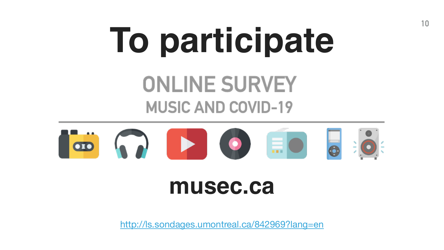### **musec.ca**

# **To participateONLINE SURVEY MUSIC AND COVID-19**



<http://ls.sondages.umontreal.ca/842969?lang=en>

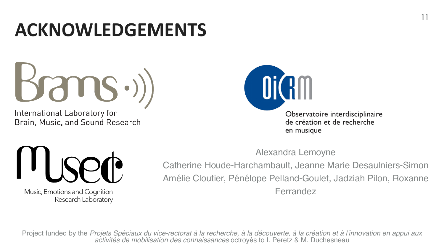### **ACKNOWLEDGEMENTS**

 $Bans.)$ 

International Laboratory for Brain, Music, and Sound Research





Alexandra Lemoyne

Catherine Houde-Harchambault, Jeanne Marie Desaulniers-Simon Amélie Cloutier, Pénélope Pelland-Goulet, Jadziah Pilon, Roxanne Ferrandez

Project funded by the *Projets Spéciaux du vice-rectorat à la recherche, à la découverte, à la création et à l'innovation en appui aux activités de mobilisation des connaissances* octroyés to I. Peretz & M. Duchesneau



Observatoire interdisciplinaire de création et de recherche en musique

Music, Emotions and Cognition Research Laboratory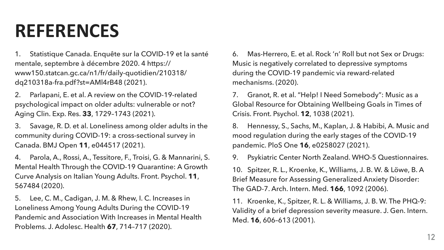### **REFERENCES**

Statistique Canada. Enquête sur la COVID-19 et la santé mentale, septembre à décembre 2020. 4 https:// www150.statcan.gc.ca/n1/fr/daily-quotidien/210318/ dq210318a-fra.pdf?st=AMl4rB48 (2021).

2. Parlapani, E. et al. A review on the COVID-19-related psychological impact on older adults: vulnerable or not? Aging Clin. Exp. Res. **33**, 1729–1743 (2021).

3. Savage, R. D. et al. Loneliness among older adults in the community during COVID-19: a cross-sectional survey in Canada. BMJ Open **11**, e044517 (2021).

4. Parola, A., Rossi, A., Tessitore, F., Troisi, G. & Mannarini, S. Mental Health Through the COVID-19 Quarantine: A Growth Curve Analysis on Italian Young Adults. Front. Psychol. **11**, 567484 (2020).

5. Lee, C. M., Cadigan, J. M. & Rhew, I. C. Increases in Loneliness Among Young Adults During the COVID-19 Pandemic and Association With Increases in Mental Health Problems. J. Adolesc. Health **67**, 714–717 (2020).

6. Mas-Herrero, E. et al. Rock 'n' Roll but not Sex or Drugs: Music is negatively correlated to depressive symptoms during the COVID-19 pandemic via reward-related mechanisms. (2020).

7. Granot, R. et al. "Help! I Need Somebody": Music as a Global Resource for Obtaining Wellbeing Goals in Times of Crisis. Front. Psychol. **12**, 1038 (2021).

8. Hennessy, S., Sachs, M., Kaplan, J. & Habibi, A. Music and mood regulation during the early stages of the COVID-19 pandemic. PloS One **16**, e0258027 (2021).

9. Psykiatric Center North Zealand. WHO-5 Questionnaires.

10. Spitzer, R. L., Kroenke, K., Williams, J. B. W. & Löwe, B. A Brief Measure for Assessing Generalized Anxiety Disorder: The GAD-7. Arch. Intern. Med. **166**, 1092 (2006).

11. Kroenke, K., Spitzer, R. L. & Williams, J. B. W. The PHQ-9: Validity of a brief depression severity measure. J. Gen. Intern. Med. **16**, 606–613 (2001).